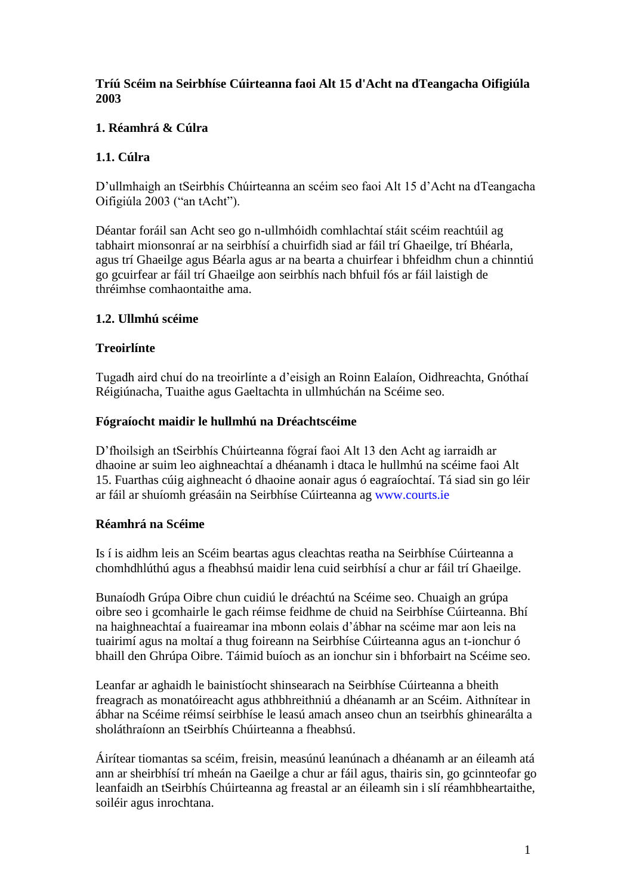## **Tríú Scéim na Seirbhíse Cúirteanna faoi Alt 15 d'Acht na dTeangacha Oifigiúla 2003**

# **1. Réamhrá & Cúlra**

# **1.1. Cúlra**

D'ullmhaigh an tSeirbhís Chúirteanna an scéim seo faoi Alt 15 d'Acht na dTeangacha Oifigiúla 2003 ("an tAcht").

Déantar foráil san Acht seo go n-ullmhóidh comhlachtaí stáit scéim reachtúil ag tabhairt mionsonraí ar na seirbhísí a chuirfidh siad ar fáil trí Ghaeilge, trí Bhéarla, agus trí Ghaeilge agus Béarla agus ar na bearta a chuirfear i bhfeidhm chun a chinntiú go gcuirfear ar fáil trí Ghaeilge aon seirbhís nach bhfuil fós ar fáil laistigh de thréimhse comhaontaithe ama.

## **1.2. Ullmhú scéime**

## **Treoirlínte**

Tugadh aird chuí do na treoirlínte a d'eisigh an Roinn Ealaíon, Oidhreachta, Gnóthaí Réigiúnacha, Tuaithe agus Gaeltachta in ullmhúchán na Scéime seo.

#### **Fógraíocht maidir le hullmhú na Dréachtscéime**

D'fhoilsigh an tSeirbhís Chúirteanna fógraí faoi Alt 13 den Acht ag iarraidh ar dhaoine ar suim leo aighneachtaí a dhéanamh i dtaca le hullmhú na scéime faoi Alt 15. Fuarthas cúig aighneacht ó dhaoine aonair agus ó eagraíochtaí. Tá siad sin go léir ar fáil ar shuíomh gréasáin na Seirbhíse Cúirteanna ag www.courts.ie

## **Réamhrá na Scéime**

Is í is aidhm leis an Scéim beartas agus cleachtas reatha na Seirbhíse Cúirteanna a chomhdhlúthú agus a fheabhsú maidir lena cuid seirbhísí a chur ar fáil trí Ghaeilge.

Bunaíodh Grúpa Oibre chun cuidiú le dréachtú na Scéime seo. Chuaigh an grúpa oibre seo i gcomhairle le gach réimse feidhme de chuid na Seirbhíse Cúirteanna. Bhí na haighneachtaí a fuaireamar ina mbonn eolais d'ábhar na scéime mar aon leis na tuairimí agus na moltaí a thug foireann na Seirbhíse Cúirteanna agus an t-ionchur ó bhaill den Ghrúpa Oibre. Táimid buíoch as an ionchur sin i bhforbairt na Scéime seo.

Leanfar ar aghaidh le bainistíocht shinsearach na Seirbhíse Cúirteanna a bheith freagrach as monatóireacht agus athbhreithniú a dhéanamh ar an Scéim. Aithnítear in ábhar na Scéime réimsí seirbhíse le leasú amach anseo chun an tseirbhís ghinearálta a sholáthraíonn an tSeirbhís Chúirteanna a fheabhsú.

Áirítear tiomantas sa scéim, freisin, measúnú leanúnach a dhéanamh ar an éileamh atá ann ar sheirbhísí trí mheán na Gaeilge a chur ar fáil agus, thairis sin, go gcinnteofar go leanfaidh an tSeirbhís Chúirteanna ag freastal ar an éileamh sin i slí réamhbheartaithe, soiléir agus inrochtana.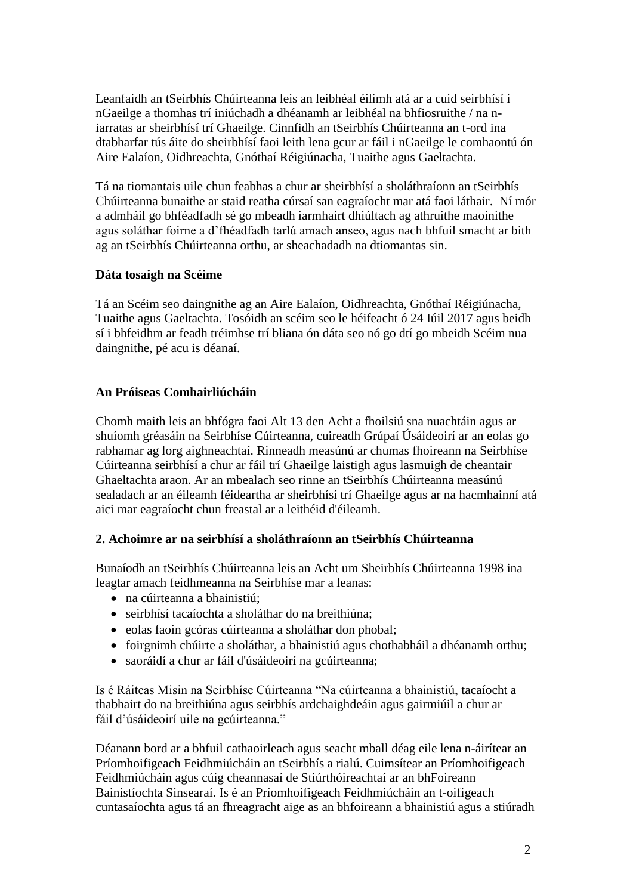Leanfaidh an tSeirbhís Chúirteanna leis an leibhéal éilimh atá ar a cuid seirbhísí i nGaeilge a thomhas trí iniúchadh a dhéanamh ar leibhéal na bhfiosruithe / na niarratas ar sheirbhísí trí Ghaeilge. Cinnfidh an tSeirbhís Chúirteanna an t-ord ina dtabharfar tús áite do sheirbhísí faoi leith lena gcur ar fáil i nGaeilge le comhaontú ón Aire Ealaíon, Oidhreachta, Gnóthaí Réigiúnacha, Tuaithe agus Gaeltachta.

Tá na tiomantais uile chun feabhas a chur ar sheirbhísí a sholáthraíonn an tSeirbhís Chúirteanna bunaithe ar staid reatha cúrsaí san eagraíocht mar atá faoi láthair. Ní mór a admháil go bhféadfadh sé go mbeadh iarmhairt dhiúltach ag athruithe maoinithe agus soláthar foirne a d'fhéadfadh tarlú amach anseo, agus nach bhfuil smacht ar bith ag an tSeirbhís Chúirteanna orthu, ar sheachadadh na dtiomantas sin.

#### **Dáta tosaigh na Scéime**

Tá an Scéim seo daingnithe ag an Aire Ealaíon, Oidhreachta, Gnóthaí Réigiúnacha, Tuaithe agus Gaeltachta. Tosóidh an scéim seo le héifeacht ó 24 Iúil 2017 agus beidh sí i bhfeidhm ar feadh tréimhse trí bliana ón dáta seo nó go dtí go mbeidh Scéim nua daingnithe, pé acu is déanaí.

## **An Próiseas Comhairliúcháin**

Chomh maith leis an bhfógra faoi Alt 13 den Acht a fhoilsiú sna nuachtáin agus ar shuíomh gréasáin na Seirbhíse Cúirteanna, cuireadh Grúpaí Úsáideoirí ar an eolas go rabhamar ag lorg aighneachtaí. Rinneadh measúnú ar chumas fhoireann na Seirbhíse Cúirteanna seirbhísí a chur ar fáil trí Ghaeilge laistigh agus lasmuigh de cheantair Ghaeltachta araon. Ar an mbealach seo rinne an tSeirbhís Chúirteanna measúnú sealadach ar an éileamh féideartha ar sheirbhísí trí Ghaeilge agus ar na hacmhainní atá aici mar eagraíocht chun freastal ar a leithéid d'éileamh.

## **2. Achoimre ar na seirbhísí a sholáthraíonn an tSeirbhís Chúirteanna**

Bunaíodh an tSeirbhís Chúirteanna leis an Acht um Sheirbhís Chúirteanna 1998 ina leagtar amach feidhmeanna na Seirbhíse mar a leanas:

- na cúirteanna a bhainistiú;
- seirbhísí tacaíochta a sholáthar do na breithiúna;
- eolas faoin gcóras cúirteanna a sholáthar don phobal;
- foirgnimh chúirte a sholáthar, a bhainistiú agus chothabháil a dhéanamh orthu;
- saoráidí a chur ar fáil d'úsáideoirí na gcúirteanna;

Is é Ráiteas Misin na Seirbhíse Cúirteanna "Na cúirteanna a bhainistiú, tacaíocht a thabhairt do na breithiúna agus seirbhís ardchaighdeáin agus gairmiúil a chur ar fáil d'úsáideoirí uile na gcúirteanna."

Déanann bord ar a bhfuil cathaoirleach agus seacht mball déag eile lena n-áirítear an Príomhoifigeach Feidhmiúcháin an tSeirbhís a rialú. Cuimsítear an Príomhoifigeach Feidhmiúcháin agus cúig cheannasaí de Stiúrthóireachtaí ar an bhFoireann Bainistíochta Sinsearaí. Is é an Príomhoifigeach Feidhmiúcháin an t-oifigeach cuntasaíochta agus tá an fhreagracht aige as an bhfoireann a bhainistiú agus a stiúradh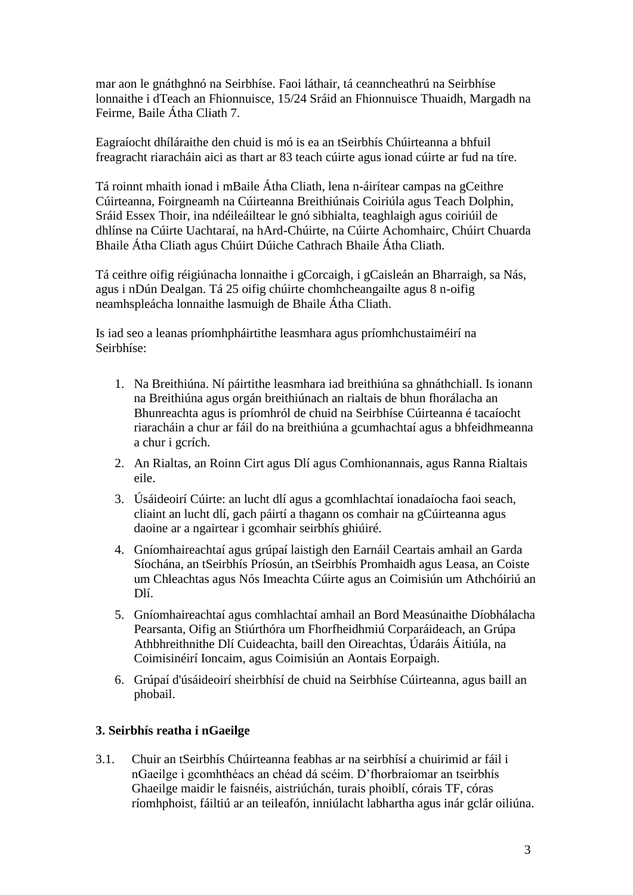mar aon le gnáthghnó na Seirbhíse. Faoi láthair, tá ceanncheathrú na Seirbhíse lonnaithe i dTeach an Fhionnuisce, 15/24 Sráid an Fhionnuisce Thuaidh, Margadh na Feirme, Baile Átha Cliath 7.

Eagraíocht dhíláraithe den chuid is mó is ea an tSeirbhís Chúirteanna a bhfuil freagracht riaracháin aici as thart ar 83 teach cúirte agus ionad cúirte ar fud na tíre.

Tá roinnt mhaith ionad i mBaile Átha Cliath, lena n-áirítear campas na gCeithre Cúirteanna, Foirgneamh na Cúirteanna Breithiúnais Coiriúla agus Teach Dolphin, Sráid Essex Thoir, ina ndéileáiltear le gnó sibhialta, teaghlaigh agus coiriúil de dhlínse na Cúirte Uachtaraí, na hArd-Chúirte, na Cúirte Achomhairc, Chúirt Chuarda Bhaile Átha Cliath agus Chúirt Dúiche Cathrach Bhaile Átha Cliath.

Tá ceithre oifig réigiúnacha lonnaithe i gCorcaigh, i gCaisleán an Bharraigh, sa Nás, agus i nDún Dealgan. Tá 25 oifig chúirte chomhcheangailte agus 8 n-oifig neamhspleácha lonnaithe lasmuigh de Bhaile Átha Cliath.

Is iad seo a leanas príomhpháirtithe leasmhara agus príomhchustaiméirí na Seirbhíse:

- 1. Na Breithiúna. Ní páirtithe leasmhara iad breithiúna sa ghnáthchiall. Is ionann na Breithiúna agus orgán breithiúnach an rialtais de bhun fhorálacha an Bhunreachta agus is príomhról de chuid na Seirbhíse Cúirteanna é tacaíocht riaracháin a chur ar fáil do na breithiúna a gcumhachtaí agus a bhfeidhmeanna a chur i gcrích.
- 2. An Rialtas, an Roinn Cirt agus Dlí agus Comhionannais, agus Ranna Rialtais eile.
- 3. Úsáideoirí Cúirte: an lucht dlí agus a gcomhlachtaí ionadaíocha faoi seach, cliaint an lucht dlí, gach páirtí a thagann os comhair na gCúirteanna agus daoine ar a ngairtear i gcomhair seirbhís ghiúiré.
- 4. Gníomhaireachtaí agus grúpaí laistigh den Earnáil Ceartais amhail an Garda Síochána, an tSeirbhís Príosún, an tSeirbhís Promhaidh agus Leasa, an Coiste um Chleachtas agus Nós Imeachta Cúirte agus an Coimisiún um Athchóiriú an Dlí.
- 5. Gníomhaireachtaí agus comhlachtaí amhail an Bord Measúnaithe Díobhálacha Pearsanta, Oifig an Stiúrthóra um Fhorfheidhmiú Corparáideach, an Grúpa Athbhreithnithe Dlí Cuideachta, baill den Oireachtas, Údaráis Áitiúla, na Coimisinéirí Ioncaim, agus Coimisiún an Aontais Eorpaigh.
- 6. Grúpaí d'úsáideoirí sheirbhísí de chuid na Seirbhíse Cúirteanna, agus baill an phobail.

## **3. Seirbhís reatha i nGaeilge**

3.1. Chuir an tSeirbhís Chúirteanna feabhas ar na seirbhísí a chuirimid ar fáil i nGaeilge i gcomhthéacs an chéad dá scéim. D'fhorbraíomar an tseirbhís Ghaeilge maidir le faisnéis, aistriúchán, turais phoiblí, córais TF, córas ríomhphoist, fáiltiú ar an teileafón, inniúlacht labhartha agus inár gclár oiliúna.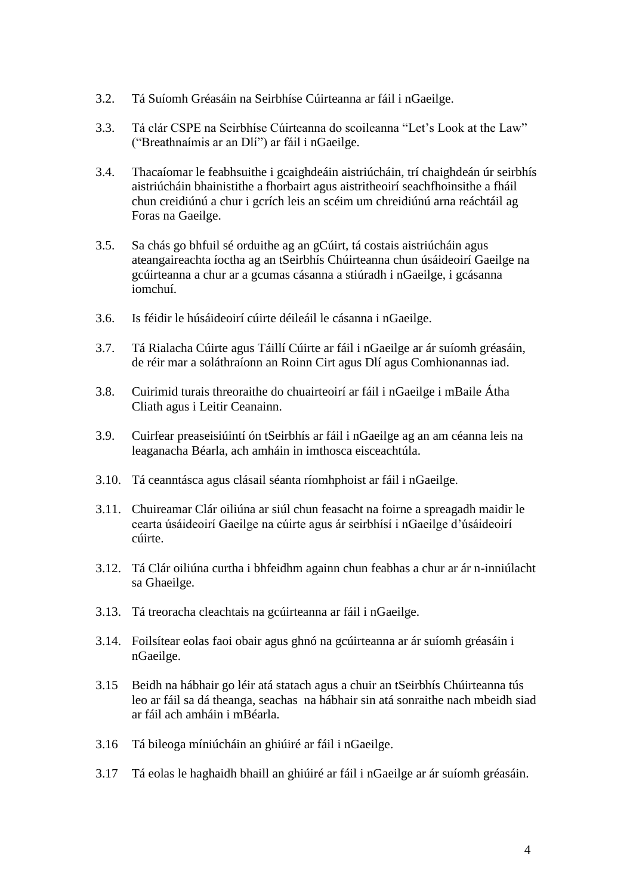- 3.2. Tá Suíomh Gréasáin na Seirbhíse Cúirteanna ar fáil i nGaeilge.
- 3.3. Tá clár CSPE na Seirbhíse Cúirteanna do scoileanna "Let's Look at the Law" ("Breathnaímis ar an Dlí") ar fáil i nGaeilge.
- 3.4. Thacaíomar le feabhsuithe i gcaighdeáin aistriúcháin, trí chaighdeán úr seirbhís aistriúcháin bhainistithe a fhorbairt agus aistritheoirí seachfhoinsithe a fháil chun creidiúnú a chur i gcrích leis an scéim um chreidiúnú arna reáchtáil ag Foras na Gaeilge.
- 3.5. Sa chás go bhfuil sé orduithe ag an gCúirt, tá costais aistriúcháin agus ateangaireachta íoctha ag an tSeirbhís Chúirteanna chun úsáideoirí Gaeilge na gcúirteanna a chur ar a gcumas cásanna a stiúradh i nGaeilge, i gcásanna iomchuí.
- 3.6. Is féidir le húsáideoirí cúirte déileáil le cásanna i nGaeilge.
- 3.7. Tá Rialacha Cúirte agus Táillí Cúirte ar fáil i nGaeilge ar ár suíomh gréasáin, de réir mar a soláthraíonn an Roinn Cirt agus Dlí agus Comhionannas iad.
- 3.8. Cuirimid turais threoraithe do chuairteoirí ar fáil i nGaeilge i mBaile Átha Cliath agus i Leitir Ceanainn.
- 3.9. Cuirfear preaseisiúintí ón tSeirbhís ar fáil i nGaeilge ag an am céanna leis na leaganacha Béarla, ach amháin in imthosca eisceachtúla.
- 3.10. Tá ceanntásca agus clásail séanta ríomhphoist ar fáil i nGaeilge.
- 3.11. Chuireamar Clár oiliúna ar siúl chun feasacht na foirne a spreagadh maidir le cearta úsáideoirí Gaeilge na cúirte agus ár seirbhísí i nGaeilge d'úsáideoirí cúirte.
- 3.12. Tá Clár oiliúna curtha i bhfeidhm againn chun feabhas a chur ar ár n-inniúlacht sa Ghaeilge.
- 3.13. Tá treoracha cleachtais na gcúirteanna ar fáil i nGaeilge.
- 3.14. Foilsítear eolas faoi obair agus ghnó na gcúirteanna ar ár suíomh gréasáin i nGaeilge.
- 3.15 Beidh na hábhair go léir atá statach agus a chuir an tSeirbhís Chúirteanna tús leo ar fáil sa dá theanga, seachas na hábhair sin atá sonraithe nach mbeidh siad ar fáil ach amháin i mBéarla.
- 3.16 Tá bileoga míniúcháin an ghiúiré ar fáil i nGaeilge.
- 3.17 Tá eolas le haghaidh bhaill an ghiúiré ar fáil i nGaeilge ar ár suíomh gréasáin.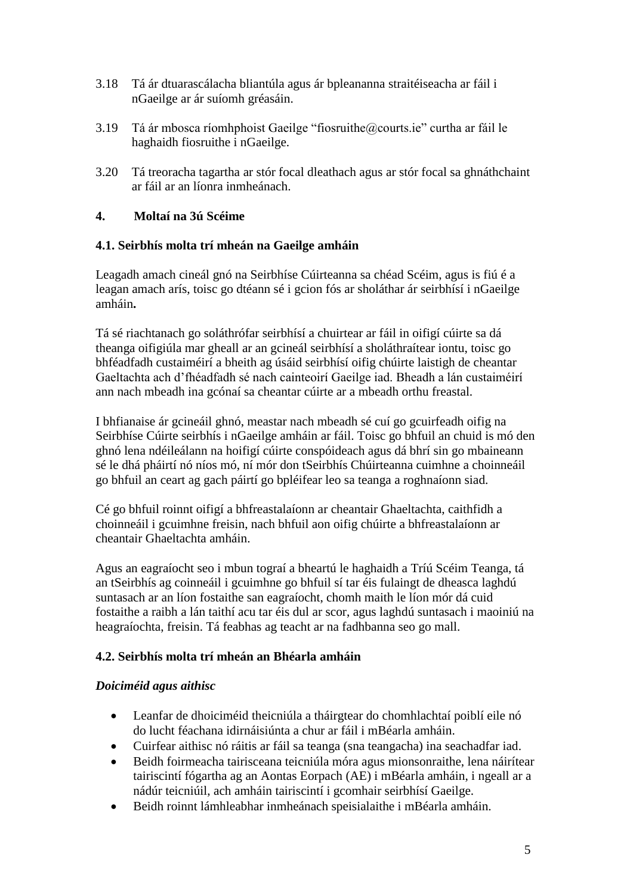- 3.18 Tá ár dtuarascálacha bliantúla agus ár bpleananna straitéiseacha ar fáil i nGaeilge ar ár suíomh gréasáin.
- 3.19 Tá ár mbosca ríomhphoist Gaeilge "fiosruithe@courts.ie" curtha ar fáil le haghaidh fiosruithe i nGaeilge.
- 3.20 Tá treoracha tagartha ar stór focal dleathach agus ar stór focal sa ghnáthchaint ar fáil ar an líonra inmheánach.

# **4. Moltaí na 3ú Scéime**

## **4.1. Seirbhís molta trí mheán na Gaeilge amháin**

Leagadh amach cineál gnó na Seirbhíse Cúirteanna sa chéad Scéim, agus is fiú é a leagan amach arís, toisc go dtéann sé i gcion fós ar sholáthar ár seirbhísí i nGaeilge amháin**.**

Tá sé riachtanach go soláthrófar seirbhísí a chuirtear ar fáil in oifigí cúirte sa dá theanga oifigiúla mar gheall ar an gcineál seirbhísí a sholáthraítear iontu, toisc go bhféadfadh custaiméirí a bheith ag úsáid seirbhísí oifig chúirte laistigh de cheantar Gaeltachta ach d'fhéadfadh sé nach cainteoirí Gaeilge iad. Bheadh a lán custaiméirí ann nach mbeadh ina gcónaí sa cheantar cúirte ar a mbeadh orthu freastal.

I bhfianaise ár gcineáil ghnó, meastar nach mbeadh sé cuí go gcuirfeadh oifig na Seirbhíse Cúirte seirbhís i nGaeilge amháin ar fáil. Toisc go bhfuil an chuid is mó den ghnó lena ndéileálann na hoifigí cúirte conspóideach agus dá bhrí sin go mbaineann sé le dhá pháirtí nó níos mó, ní mór don tSeirbhís Chúirteanna cuimhne a choinneáil go bhfuil an ceart ag gach páirtí go bpléifear leo sa teanga a roghnaíonn siad.

Cé go bhfuil roinnt oifigí a bhfreastalaíonn ar cheantair Ghaeltachta, caithfidh a choinneáil i gcuimhne freisin, nach bhfuil aon oifig chúirte a bhfreastalaíonn ar cheantair Ghaeltachta amháin.

Agus an eagraíocht seo i mbun tograí a bheartú le haghaidh a Tríú Scéim Teanga, tá an tSeirbhís ag coinneáil i gcuimhne go bhfuil sí tar éis fulaingt de dheasca laghdú suntasach ar an líon fostaithe san eagraíocht, chomh maith le líon mór dá cuid fostaithe a raibh a lán taithí acu tar éis dul ar scor, agus laghdú suntasach i maoiniú na heagraíochta, freisin. Tá feabhas ag teacht ar na fadhbanna seo go mall.

## **4.2. Seirbhís molta trí mheán an Bhéarla amháin**

## *Doiciméid agus aithisc*

- Leanfar de dhoiciméid theicniúla a tháirgtear do chomhlachtaí poiblí eile nó do lucht féachana idirnáisiúnta a chur ar fáil i mBéarla amháin.
- Cuirfear aithisc nó ráitis ar fáil sa teanga (sna teangacha) ina seachadfar iad.
- Beidh foirmeacha tairisceana teicniúla móra agus mionsonraithe, lena náirítear tairiscintí fógartha ag an Aontas Eorpach (AE) i mBéarla amháin, i ngeall ar a nádúr teicniúil, ach amháin tairiscintí i gcomhair seirbhísí Gaeilge.
- Beidh roinnt lámhleabhar inmheánach speisialaithe i mBéarla amháin.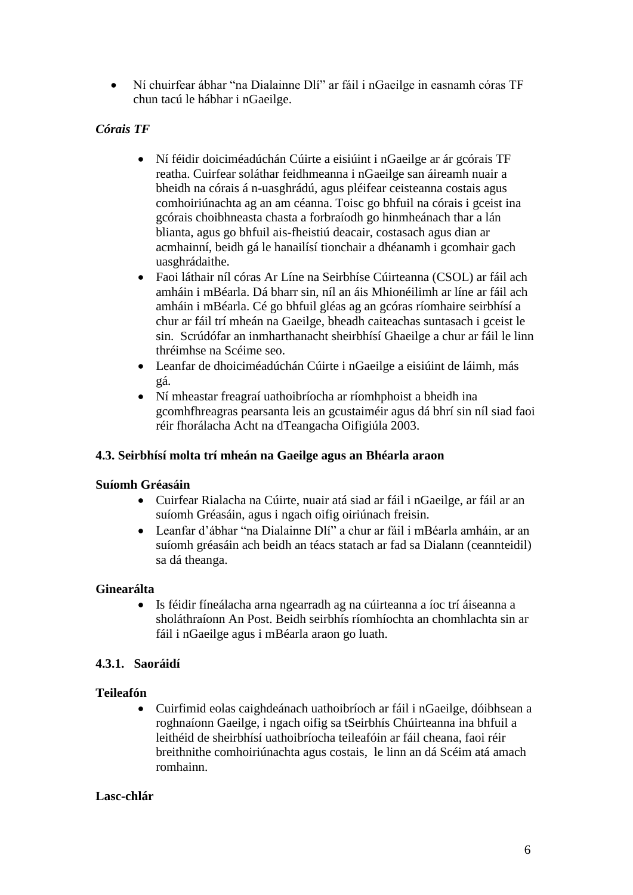Ní chuirfear ábhar "na Dialainne Dlí" ar fáil i nGaeilge in easnamh córas TF chun tacú le hábhar i nGaeilge.

# *Córais TF*

- Ní féidir doiciméadúchán Cúirte a eisiúint i nGaeilge ar ár gcórais TF reatha. Cuirfear soláthar feidhmeanna i nGaeilge san áireamh nuair a bheidh na córais á n-uasghrádú, agus pléifear ceisteanna costais agus comhoiriúnachta ag an am céanna. Toisc go bhfuil na córais i gceist ina gcórais choibhneasta chasta a forbraíodh go hinmheánach thar a lán blianta, agus go bhfuil ais-fheistiú deacair, costasach agus dian ar acmhainní, beidh gá le hanailísí tionchair a dhéanamh i gcomhair gach uasghrádaithe.
- Faoi láthair níl córas Ar Líne na Seirbhíse Cúirteanna (CSOL) ar fáil ach amháin i mBéarla. Dá bharr sin, níl an áis Mhionéilimh ar líne ar fáil ach amháin i mBéarla. Cé go bhfuil gléas ag an gcóras ríomhaire seirbhísí a chur ar fáil trí mheán na Gaeilge, bheadh caiteachas suntasach i gceist le sin. Scrúdófar an inmharthanacht sheirbhísí Ghaeilge a chur ar fáil le linn thréimhse na Scéime seo.
- Leanfar de dhoiciméadúchán Cúirte i nGaeilge a eisiúint de láimh, más gá.
- Ní mheastar freagraí uathoibríocha ar ríomhphoist a bheidh ina gcomhfhreagras pearsanta leis an gcustaiméir agus dá bhrí sin níl siad faoi réir fhorálacha Acht na dTeangacha Oifigiúla 2003.

## **4.3. Seirbhísí molta trí mheán na Gaeilge agus an Bhéarla araon**

## **Suíomh Gréasáin**

- Cuirfear Rialacha na Cúirte, nuair atá siad ar fáil i nGaeilge, ar fáil ar an suíomh Gréasáin, agus i ngach oifig oiriúnach freisin.
- Leanfar d'ábhar "na Dialainne Dlí" a chur ar fáil i mBéarla amháin, ar an suíomh gréasáin ach beidh an téacs statach ar fad sa Dialann (ceannteidil) sa dá theanga.

## **Ginearálta**

 Is féidir fíneálacha arna ngearradh ag na cúirteanna a íoc trí áiseanna a sholáthraíonn An Post. Beidh seirbhís ríomhíochta an chomhlachta sin ar fáil i nGaeilge agus i mBéarla araon go luath.

## **4.3.1. Saoráidí**

#### **Teileafón**

 Cuirfimid eolas caighdeánach uathoibríoch ar fáil i nGaeilge, dóibhsean a roghnaíonn Gaeilge, i ngach oifig sa tSeirbhís Chúirteanna ina bhfuil a leithéid de sheirbhísí uathoibríocha teileafóin ar fáil cheana, faoi réir breithnithe comhoiriúnachta agus costais, le linn an dá Scéim atá amach romhainn.

#### **Lasc-chlár**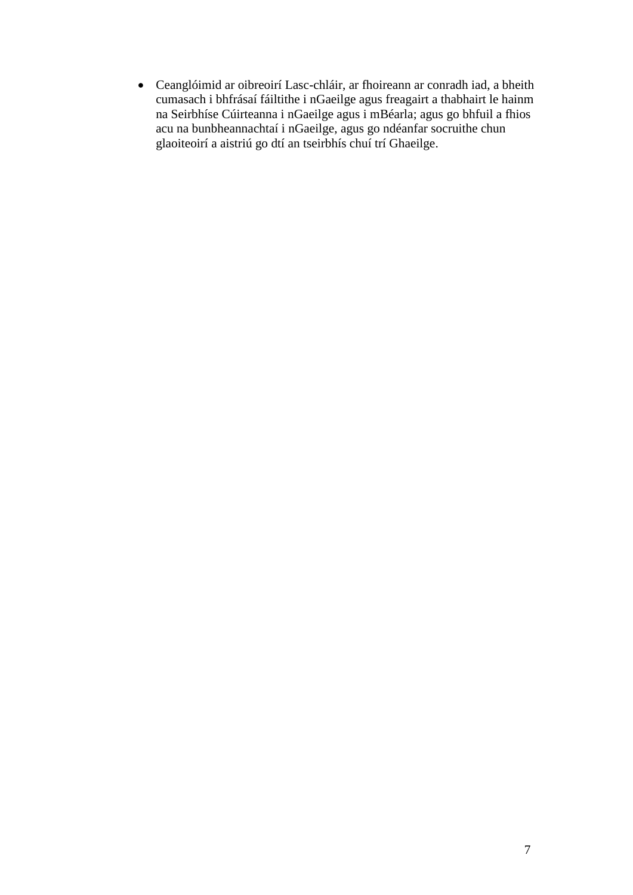Ceanglóimid ar oibreoirí Lasc-chláir, ar fhoireann ar conradh iad, a bheith cumasach i bhfrásaí fáiltithe i nGaeilge agus freagairt a thabhairt le hainm na Seirbhíse Cúirteanna i nGaeilge agus i mBéarla; agus go bhfuil a fhios acu na bunbheannachtaí i nGaeilge, agus go ndéanfar socruithe chun glaoiteoirí a aistriú go dtí an tseirbhís chuí trí Ghaeilge.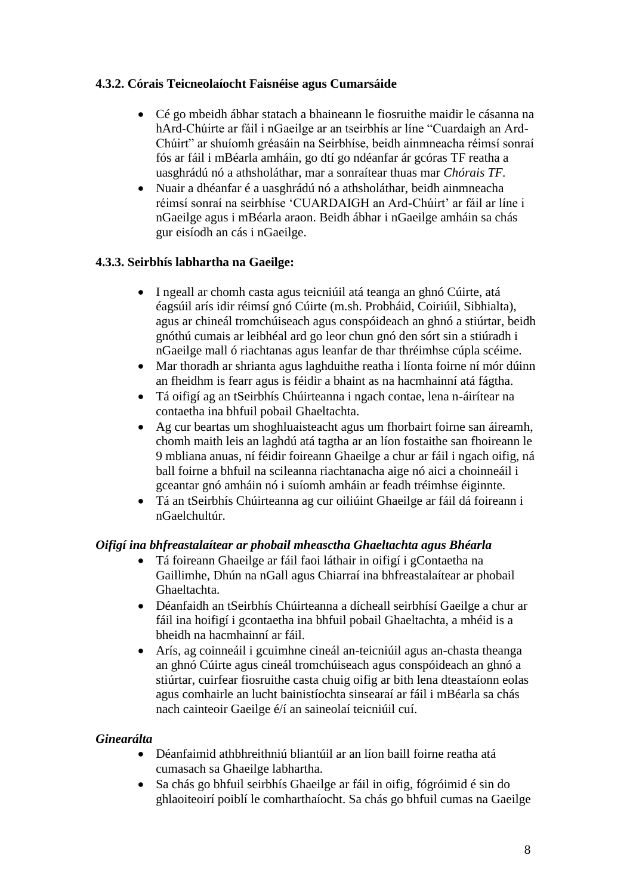## **4.3.2. Córais Teicneolaíocht Faisnéise agus Cumarsáide**

- Cé go mbeidh ábhar statach a bhaineann le fiosruithe maidir le cásanna na hArd-Chúirte ar fáil i nGaeilge ar an tseirbhís ar líne "Cuardaigh an Ard-Chúirt" ar shuíomh gréasáin na Seirbhíse, beidh ainmneacha réimsí sonraí fós ar fáil i mBéarla amháin, go dtí go ndéanfar ár gcóras TF reatha a uasghrádú nó a athsholáthar, mar a sonraítear thuas mar *Chórais TF.*
- Nuair a dhéanfar é a uasghrádú nó a athsholáthar, beidh ainmneacha réimsí sonraí na seirbhíse 'CUARDAIGH an Ard-Chúirt' ar fáil ar líne i nGaeilge agus i mBéarla araon. Beidh ábhar i nGaeilge amháin sa chás gur eisíodh an cás i nGaeilge.

## **4.3.3. Seirbhís labhartha na Gaeilge:**

- I ngeall ar chomh casta agus teicniúil atá teanga an ghnó Cúirte, atá éagsúil arís idir réimsí gnó Cúirte (m.sh. Probháid, Coiriúil, Sibhialta), agus ar chineál tromchúiseach agus conspóideach an ghnó a stiúrtar, beidh gnóthú cumais ar leibhéal ard go leor chun gnó den sórt sin a stiúradh i nGaeilge mall ó riachtanas agus leanfar de thar thréimhse cúpla scéime.
- Mar thoradh ar shrianta agus laghduithe reatha i líonta foirne ní mór dúinn an fheidhm is fearr agus is féidir a bhaint as na hacmhainní atá fágtha.
- Tá oifigí ag an tSeirbhís Chúirteanna i ngach contae, lena n-áirítear na contaetha ina bhfuil pobail Ghaeltachta.
- Ag cur beartas um shoghluaisteacht agus um fhorbairt foirne san áireamh, chomh maith leis an laghdú atá tagtha ar an líon fostaithe san fhoireann le 9 mbliana anuas, ní féidir foireann Ghaeilge a chur ar fáil i ngach oifig, ná ball foirne a bhfuil na scileanna riachtanacha aige nó aici a choinneáil i gceantar gnó amháin nó i suíomh amháin ar feadh tréimhse éiginnte.
- Tá an tSeirbhís Chúirteanna ag cur oiliúint Ghaeilge ar fáil dá foireann i nGaelchultúr.

## *Oifigí ina bhfreastalaítear ar phobail mheasctha Ghaeltachta agus Bhéarla*

- Tá foireann Ghaeilge ar fáil faoi láthair in oifigí i gContaetha na Gaillimhe, Dhún na nGall agus Chiarraí ina bhfreastalaítear ar phobail Ghaeltachta.
- Déanfaidh an tSeirbhís Chúirteanna a dícheall seirbhísí Gaeilge a chur ar fáil ina hoifigí i gcontaetha ina bhfuil pobail Ghaeltachta, a mhéid is a bheidh na hacmhainní ar fáil.
- Arís, ag coinneáil i gcuimhne cineál an-teicniúil agus an-chasta theanga an ghnó Cúirte agus cineál tromchúiseach agus conspóideach an ghnó a stiúrtar, cuirfear fiosruithe casta chuig oifig ar bith lena dteastaíonn eolas agus comhairle an lucht bainistíochta sinsearaí ar fáil i mBéarla sa chás nach cainteoir Gaeilge é/í an saineolaí teicniúil cuí.

## *Ginearálta*

- Déanfaimid athbhreithniú bliantúil ar an líon baill foirne reatha atá cumasach sa Ghaeilge labhartha.
- Sa chás go bhfuil seirbhís Ghaeilge ar fáil in oifig, fógróimid é sin do ghlaoiteoirí poiblí le comharthaíocht. Sa chás go bhfuil cumas na Gaeilge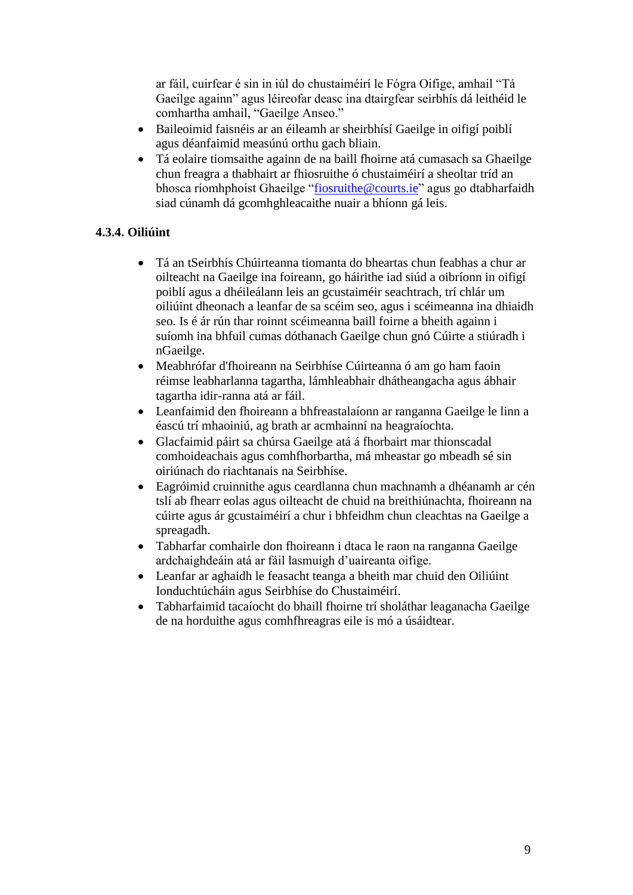ar fáil, cuirfear é sin in iúl do chustaiméirí le Fógra Oifige, amhail "Tá Gaeilge againn" agus léireofar deasc ina dtairgfear seirbhís dá leithéid le comhartha amhail, "Gaeilge Anseo."

- Baileoimid faisnéis ar an éileamh ar sheirbhísí Gaeilge in oifigí poiblí agus déanfaimid measúnú orthu gach bliain.
- Tá eolaire tiomsaithe againn de na baill fhoirne atá cumasach sa Ghaeilge chun freagra a thabhairt ar fhiosruithe ó chustaiméirí a sheoltar tríd an bhosca ríomhphoist Ghaeilge "fiosruithe@courts.ie" agus go dtabharfaidh siad cúnamh dá gcomhghleacaithe nuair a bhíonn gá leis.

## **4.3.4. Oiliúint**

- Tá an tSeirbhís Chúirteanna tiomanta do bheartas chun feabhas a chur ar oilteacht na Gaeilge ina foireann, go háirithe iad siúd a oibríonn in oifigí poiblí agus a dhéileálann leis an gcustaiméir seachtrach, trí chlár um oiliúint dheonach a leanfar de sa scéim seo, agus i scéimeanna ina dhiaidh seo. Is é ár rún thar roinnt scéimeanna baill foirne a bheith againn i suíomh ina bhfuil cumas dóthanach Gaeilge chun gnó Cúirte a stiúradh i nGaeilge.
- Meabhrófar d'fhoireann na Seirbhíse Cúirteanna ó am go ham faoin réimse leabharlanna tagartha, lámhleabhair dhátheangacha agus ábhair tagartha idir-ranna atá ar fáil.
- Leanfaimid den fhoireann a bhfreastalaíonn ar ranganna Gaeilge le linn a éascú trí mhaoiniú, ag brath ar acmhainní na heagraíochta.
- Glacfaimid páirt sa chúrsa Gaeilge atá á fhorbairt mar thionscadal comhoideachais agus comhfhorbartha, má mheastar go mbeadh sé sin oiriúnach do riachtanais na Seirbhíse.
- Eagróimid cruinnithe agus ceardlanna chun machnamh a dhéanamh ar cén tslí ab fhearr eolas agus oilteacht de chuid na breithiúnachta, fhoireann na cúirte agus ár gcustaiméirí a chur i bhfeidhm chun cleachtas na Gaeilge a spreagadh.
- Tabharfar comhairle don fhoireann i dtaca le raon na ranganna Gaeilge ardchaighdeáin atá ar fáil lasmuigh d'uaireanta oifige.
- Leanfar ar aghaidh le feasacht teanga a bheith mar chuid den Oiliúint Ionduchtúcháin agus Seirbhíse do Chustaiméirí.
- Tabharfaimid tacaíocht do bhaill fhoirne trí sholáthar leaganacha Gaeilge de na horduithe agus comhfhreagras eile is mó a úsáidtear.